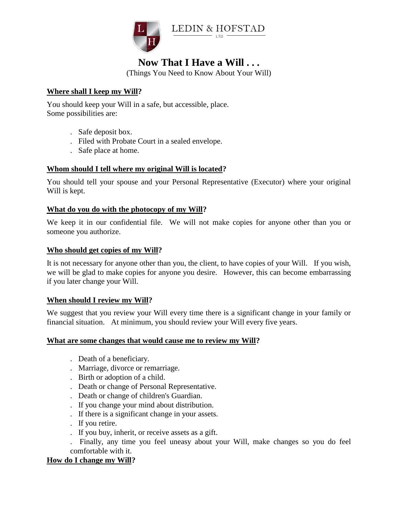

# **Now That I Have a Will . . .**

(Things You Need to Know About Your Will)

## **Where shall I keep my Will?**

You should keep your Will in a safe, but accessible, place. Some possibilities are:

- . Safe deposit box.
- . Filed with Probate Court in a sealed envelope.
- . Safe place at home.

# **Whom should I tell where my original Will is located?**

You should tell your spouse and your Personal Representative (Executor) where your original Will is kept.

## **What do you do with the photocopy of my Will?**

We keep it in our confidential file. We will not make copies for anyone other than you or someone you authorize.

## **Who should get copies of my Will?**

It is not necessary for anyone other than you, the client, to have copies of your Will. If you wish, we will be glad to make copies for anyone you desire. However, this can become embarrassing if you later change your Will.

## **When should I review my Will?**

We suggest that you review your Will every time there is a significant change in your family or financial situation. At minimum, you should review your Will every five years.

## **What are some changes that would cause me to review my Will?**

- . Death of a beneficiary.
- . Marriage, divorce or remarriage.
- . Birth or adoption of a child.
- . Death or change of Personal Representative.
- . Death or change of children's Guardian.
- . If you change your mind about distribution.
- . If there is a significant change in your assets.
- . If you retire.
- . If you buy, inherit, or receive assets as a gift.
- . Finally, any time you feel uneasy about your Will, make changes so you do feel comfortable with it.

#### **How do I change my Will?**